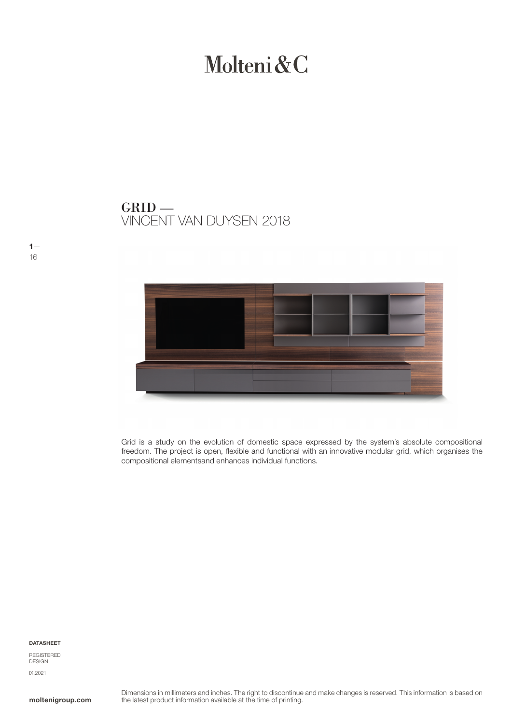# Molteni&C

VINCENT VAN DUYSEN 2018 GRID —



Grid is a study on the evolution of domestic space expressed by the system's absolute compositional freedom. The project is open, flexible and functional with an innovative modular grid, which organises the compositional elementsand enhances individual functions.

DATASHEET

 $1-$ 16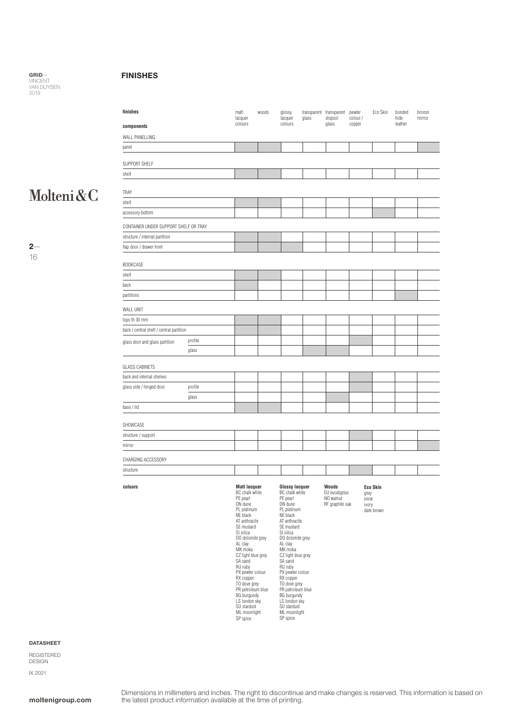#### FINISHES

## Molteni&C

 $2-$ 16

| finishes                                 |         | matt<br>lacquer                                                                                                                                                                                                                                                                                                                                                            | woods | glossy<br>lacquer                                                                                                                                                                                                                                                                                                                                                            | glass | transparent transparent<br>stopsol                     | pewter<br>colour /    | Eco Skin                      | bonded<br>hide | bronze<br>mirror |
|------------------------------------------|---------|----------------------------------------------------------------------------------------------------------------------------------------------------------------------------------------------------------------------------------------------------------------------------------------------------------------------------------------------------------------------------|-------|------------------------------------------------------------------------------------------------------------------------------------------------------------------------------------------------------------------------------------------------------------------------------------------------------------------------------------------------------------------------------|-------|--------------------------------------------------------|-----------------------|-------------------------------|----------------|------------------|
| components                               |         | colours                                                                                                                                                                                                                                                                                                                                                                    |       | colours                                                                                                                                                                                                                                                                                                                                                                      |       | glass                                                  | copper                |                               | leather        |                  |
| WALL PANELLING                           |         |                                                                                                                                                                                                                                                                                                                                                                            |       |                                                                                                                                                                                                                                                                                                                                                                              |       |                                                        |                       |                               |                |                  |
| panel                                    |         |                                                                                                                                                                                                                                                                                                                                                                            |       |                                                                                                                                                                                                                                                                                                                                                                              |       |                                                        |                       |                               |                |                  |
| SUPPORT SHELF                            |         |                                                                                                                                                                                                                                                                                                                                                                            |       |                                                                                                                                                                                                                                                                                                                                                                              |       |                                                        |                       |                               |                |                  |
| shelf                                    |         |                                                                                                                                                                                                                                                                                                                                                                            |       |                                                                                                                                                                                                                                                                                                                                                                              |       |                                                        |                       |                               |                |                  |
| TRAY                                     |         |                                                                                                                                                                                                                                                                                                                                                                            |       |                                                                                                                                                                                                                                                                                                                                                                              |       |                                                        |                       |                               |                |                  |
| shelf                                    |         |                                                                                                                                                                                                                                                                                                                                                                            |       |                                                                                                                                                                                                                                                                                                                                                                              |       |                                                        |                       |                               |                |                  |
| accessory bottom                         |         |                                                                                                                                                                                                                                                                                                                                                                            |       |                                                                                                                                                                                                                                                                                                                                                                              |       |                                                        |                       |                               |                |                  |
| CONTAINER UNDER SUPPORT SHELF OR TRAY    |         |                                                                                                                                                                                                                                                                                                                                                                            |       |                                                                                                                                                                                                                                                                                                                                                                              |       |                                                        |                       |                               |                |                  |
| structure / internal partition           |         |                                                                                                                                                                                                                                                                                                                                                                            |       |                                                                                                                                                                                                                                                                                                                                                                              |       |                                                        |                       |                               |                |                  |
| flap door / drawer front                 |         |                                                                                                                                                                                                                                                                                                                                                                            |       |                                                                                                                                                                                                                                                                                                                                                                              |       |                                                        |                       |                               |                |                  |
| <b>BOOKCASE</b>                          |         |                                                                                                                                                                                                                                                                                                                                                                            |       |                                                                                                                                                                                                                                                                                                                                                                              |       |                                                        |                       |                               |                |                  |
| shelf                                    |         |                                                                                                                                                                                                                                                                                                                                                                            |       |                                                                                                                                                                                                                                                                                                                                                                              |       |                                                        |                       |                               |                |                  |
| back                                     |         |                                                                                                                                                                                                                                                                                                                                                                            |       |                                                                                                                                                                                                                                                                                                                                                                              |       |                                                        |                       |                               |                |                  |
| partitions                               |         |                                                                                                                                                                                                                                                                                                                                                                            |       |                                                                                                                                                                                                                                                                                                                                                                              |       |                                                        |                       |                               |                |                  |
| WALL UNIT                                |         |                                                                                                                                                                                                                                                                                                                                                                            |       |                                                                                                                                                                                                                                                                                                                                                                              |       |                                                        |                       |                               |                |                  |
| tops th 30 mm                            |         |                                                                                                                                                                                                                                                                                                                                                                            |       |                                                                                                                                                                                                                                                                                                                                                                              |       |                                                        |                       |                               |                |                  |
| back / central shelf / central partition |         |                                                                                                                                                                                                                                                                                                                                                                            |       |                                                                                                                                                                                                                                                                                                                                                                              |       |                                                        |                       |                               |                |                  |
| glass door and glass partition           | profile |                                                                                                                                                                                                                                                                                                                                                                            |       |                                                                                                                                                                                                                                                                                                                                                                              |       |                                                        |                       |                               |                |                  |
|                                          | glass   |                                                                                                                                                                                                                                                                                                                                                                            |       |                                                                                                                                                                                                                                                                                                                                                                              |       |                                                        |                       |                               |                |                  |
| <b>GLASS CABINETS</b>                    |         |                                                                                                                                                                                                                                                                                                                                                                            |       |                                                                                                                                                                                                                                                                                                                                                                              |       |                                                        |                       |                               |                |                  |
| back and internal shelves                |         |                                                                                                                                                                                                                                                                                                                                                                            |       |                                                                                                                                                                                                                                                                                                                                                                              |       |                                                        |                       |                               |                |                  |
| glass side / hinged door                 | profile |                                                                                                                                                                                                                                                                                                                                                                            |       |                                                                                                                                                                                                                                                                                                                                                                              |       |                                                        |                       |                               |                |                  |
|                                          | glass   |                                                                                                                                                                                                                                                                                                                                                                            |       |                                                                                                                                                                                                                                                                                                                                                                              |       |                                                        |                       |                               |                |                  |
| base / lid                               |         |                                                                                                                                                                                                                                                                                                                                                                            |       |                                                                                                                                                                                                                                                                                                                                                                              |       |                                                        |                       |                               |                |                  |
| SHOWCASE                                 |         |                                                                                                                                                                                                                                                                                                                                                                            |       |                                                                                                                                                                                                                                                                                                                                                                              |       |                                                        |                       |                               |                |                  |
| structure / support                      |         |                                                                                                                                                                                                                                                                                                                                                                            |       |                                                                                                                                                                                                                                                                                                                                                                              |       |                                                        |                       |                               |                |                  |
| mirror                                   |         |                                                                                                                                                                                                                                                                                                                                                                            |       |                                                                                                                                                                                                                                                                                                                                                                              |       |                                                        |                       |                               |                |                  |
| CHARGING ACCESSORY                       |         |                                                                                                                                                                                                                                                                                                                                                                            |       |                                                                                                                                                                                                                                                                                                                                                                              |       |                                                        |                       |                               |                |                  |
| structure                                |         |                                                                                                                                                                                                                                                                                                                                                                            |       |                                                                                                                                                                                                                                                                                                                                                                              |       |                                                        |                       |                               |                |                  |
| colours                                  |         | <b>Matt lacquer</b><br>BC chalk white<br>PE pearl<br>DN dune<br>PL platinum<br>NE black<br>AT anthracite<br>SE mustard<br>SI silica<br>DO dolomite grey<br>AL clay<br>MK moka<br>CZ light blue grey<br>SA sand<br>RU ruby<br>PX pewter colour<br>RX copper<br>TO dove grey<br>PR petroleum blue<br>BG burgundy<br>LS london sky<br>SU stardust<br>ML moonlight<br>SP spice |       | <b>Glossy lacquer</b><br>BC chalk white<br>PE pearl<br>DN dune<br>PL platinum<br>NE black<br>AT anthracite<br>SE mustard<br>SI silica<br>DO dolomite grey<br>AL clay<br>MK moka<br>CZ light blue grey<br>SA sand<br>RU ruby<br>PX pewter colour<br>RX copper<br>TO dove grey<br>PR petroleum blue<br>BG burgundy<br>LS london sky<br>SU stardust<br>ML moonlight<br>SP spice |       | Woods<br>EU eucalyptus<br>NO walnut<br>RF graphite oak | grey<br>mink<br>ivory | <b>Eco Skin</b><br>dark brown |                |                  |

#### DATASHEET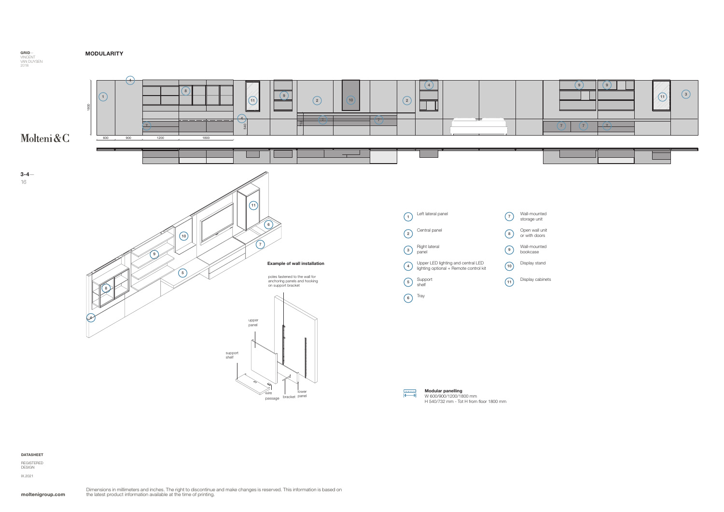MODULARITY

|  |   | з |
|--|---|---|
|  | ▬ |   |

moltenigroup.com

#### DATASHEET

REGISTERED DESIGN IX.2021

W 600/900/1200/1800 mm

H 540/732 mm - Tot H from floor 1800 mm



wire |<br>passage <sup>bracket</sup>

 $\propto$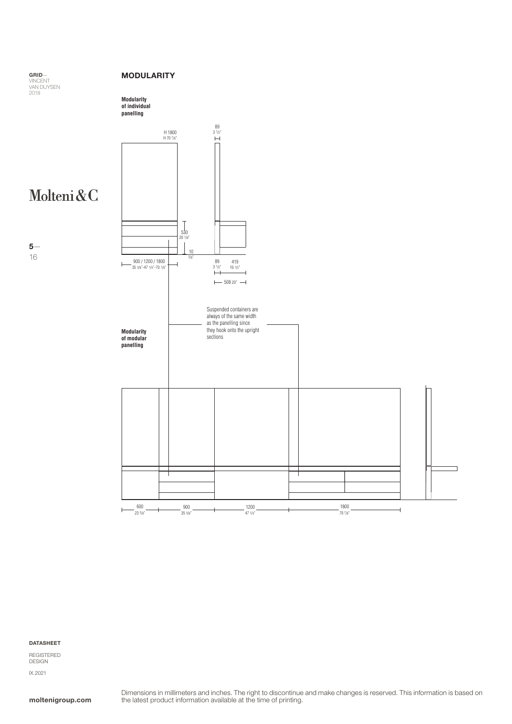#### MODULARITY





## Molteni&C

5— 16



DATASHEET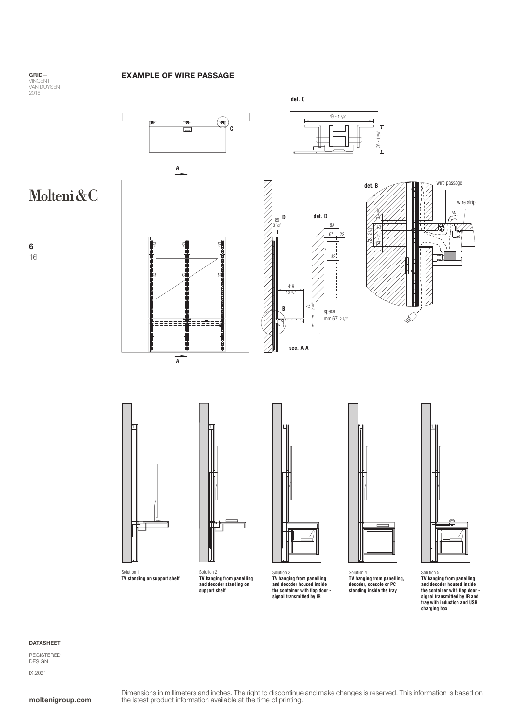### EXAMPLE OF WIRE PASSAGE

GRID— VINCENT<br>VAN DUYSEN<br>2018

6—

16



Solution 1 **TV standing on support shelf**

Solution 2 **TV hanging from panelling and decoder standing on support shelf**

Solution 3 **TV hanging from panelling and decoder housed inside the container with flap door - signal transmitted by IR**

Solution 4 **TV hanging from panelling, decoder, console or PC standing inside the tray**



Solution 5 **TV hanging from panelling and decoder housed inside the container with flap door - signal transmitted by IR and tray with induction and USB charging box**

#### DATASHEET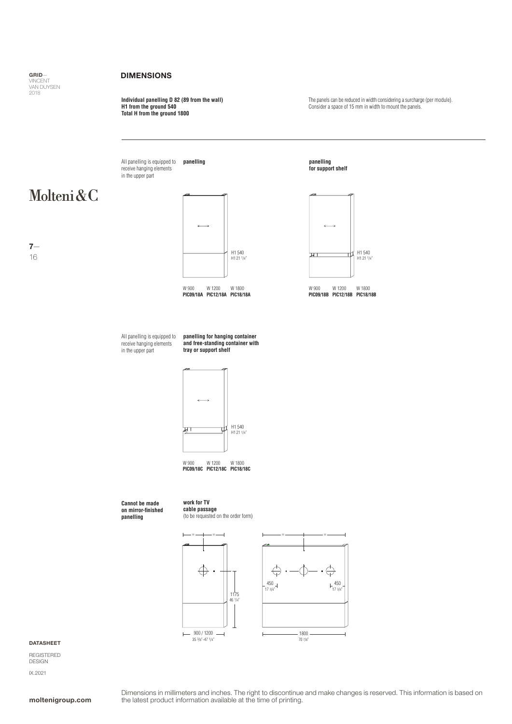#### DIMENSIONS

**Individual panelling D 82 (89 from the wall) H1 from the ground 540 Total H from the ground 1800**

The panels can be reduced in width considering a surcharge (per module). Consider a space of 15 mm in width to mount the panels.

**panelling** All panelling is equipped to receive hanging elements in the upper part

## Molteni&C

7— 16



W 900 W 1200 W 1800<br>**PIC09/18A PIC12/18A PIC18/18A** 





W 900 W 1200 W 1800 **PIC09/18A PIC12/18A PIC18/18A PIC09/18B PIC12/18B PIC18/18B**

All panelling is equipped to receive hanging elements in the upper part

**panelling for hanging container and free-standing container with tray or support shelf**



W 900 W 1200 W 1800 **PIC09/18C PIC12/18C PIC18/18C**

**Cannot be made on mirror-finished panelling** **work for TV cable passage** (to be requested on the order form)



#### DATASHEET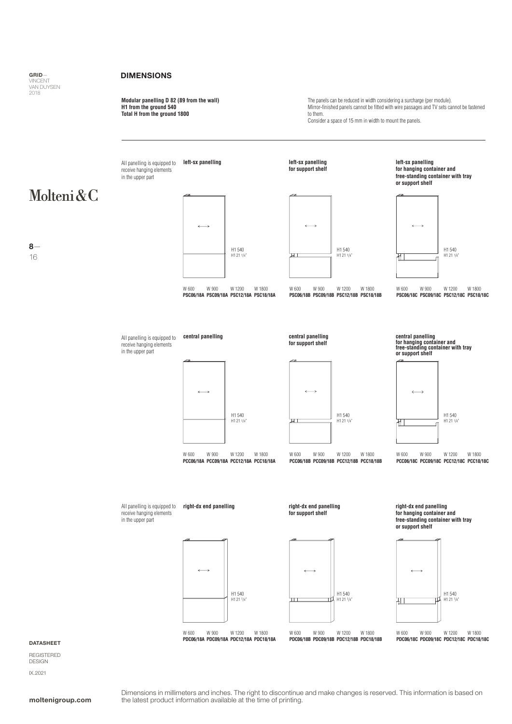

8— 16

### DIMENSIONS

**Modular panelling D 82 (89 from the wall) H1 from the ground 540 Total H from the ground 1800**

The panels can be reduced in width considering a surcharge (per module). Mirror-finished panels cannot be fitted with wire passages and TV sets cannot be fastened to them. Consider a space of 15 mm in width to mount the panels.

**left-sx panelling left-sx panelling left-sx panelling** All panelling is equipped to **for support shelf for hanging container and**  receive hanging elements in the upper part **free-standing container with tray or support shelf** Molteni&C H1 540 H1 540 H1 540 H1 21 1/4"  $H1 21$ H1 21 1/4" ᠯ W 600 W 900 W 1200 W 1800<br>**PSC06/18C PSC09/18C PSC12/18C PSC18/18C** W 900 W 1200 W 1800 W 600 W 600 W 900 W 1200 W 1800 **PSC06/18A PSC09/18A PSC12/18A PSC18/18A PSC06/18B PSC09/18B PSC12/18B PSC18/18B PSC06/18C PSC09/18C PSC12/18C PSC18/18C central panelling central panelling**  All panelling is equipped to **central panelling for hanging container and free-standing container with tray for support shelf** receive hanging elements in the upper part **or support shelf** H1 540 H1 540 H1 540 H1 21 1/4" H1 21 1/4" H1 21 1/4" ₩ W 600 W 900 W 1200 W 1800 W 600 W 900 W 1200 W 1800<br> **PCC06/18A PCC09/18A PCC12/18A PCC18/18A PCC06/18B PCC09/18B PCC12/18B PCC18/** W 900 W 1200 W 1800 W 600 W 900 W 1200 W 1800<br> **PCC06/18C PCC09/18C PCC12/18C PCC18/18C PCC06/18A PCC09/18A PCC12/18A PCC18/18A PCC06/18B PCC09/18B PCC12/18B PCC18/18B PCC06/18C PCC09/18C PCC12/18C PCC18/18C** All panelling is equipped to **right-dx end panelling right-dx end panelling right-dx end panelling** receive hanging elements **for support shelf for hanging container and**  in the upper part **free-standing container with tray or support shelf** H1 540 H1 540 H1 540 H1 21 1/4" H1 21 1/4" ㅠ H1 21 1/4"

> W 600 W 900 W 1200 W 1800<br>**PDC06/18A PDC09/18A PDC12/18A PDC18/18A** W 600 W 600 W 900 W 1200 W 1800

**PDC06/18A PDC09/18A PDC12/18A PDC18/18A PDC06/18B PDC09/18B PDC12/18B PDC18/18B PDC06/18C PDC09/18C PDC12/18C PDC18/18C**

## W 600 W 900 W 1200 W 1800<br>**PDC06/18C PDC09/18C PDC12/18C PDC18/18C**

DATASHEET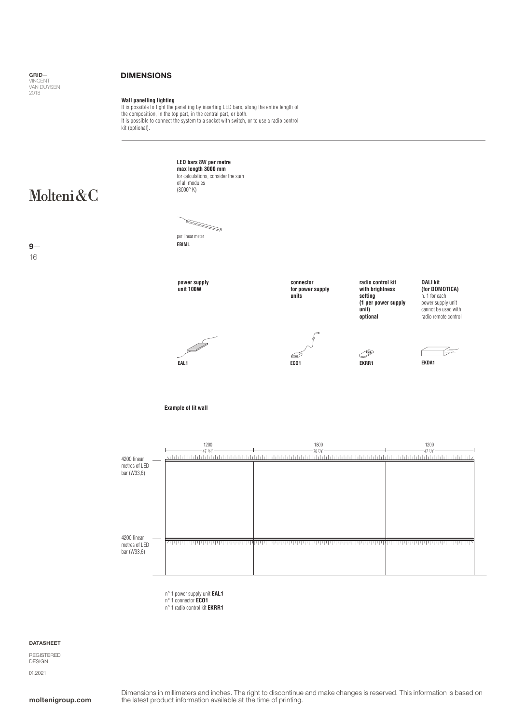### DIMENSIONS

**Wall panelling lighting** It is possible to light the panelling by inserting LED bars, along the entire length of the composition, in the top part, in the central part, or both. It is possible to connect the system to a socket with switch, or to use a radio control kit (optional).



16 9**LED bars 8W per metre max length 3000 mm**  for calculations, consider the sum

of all modules (3000° K)

per linear meter

**EBIML**



**connector for power supply units**

**radio control kit with brightness setting (1 per power supply unit) optional**

**EKRR1**

**DALI kit (for DOMOTICA)** n. 1 for each power supply unit cannot be used with radio remote control







**Example of lit wall**

| 4200 linear                                 | 1200<br>.471/4"<br>ايا بايا با با بايند | 1800<br>.707/8"<br>ا با را را را را ر<br>بايا بايا بايا | 1200<br>471/4"<br>ينا با با با ب<br>hhh |
|---------------------------------------------|-----------------------------------------|---------------------------------------------------------|-----------------------------------------|
| metres of LED<br>bar (W33,6)                |                                         |                                                         |                                         |
|                                             |                                         |                                                         |                                         |
|                                             |                                         |                                                         |                                         |
| 4200 linear<br>metres of LED<br>bar (W33,6) | بربرابرتكر                              |                                                         |                                         |
|                                             |                                         |                                                         |                                         |

n° 1 power supply unit **EAL1** n° 1 connector **ECO1**

n° 1 radio control kit **EKRR1**

#### DATASHEET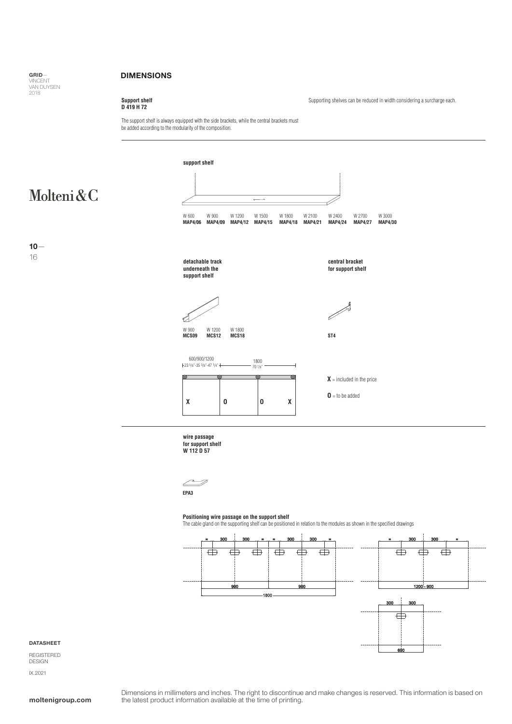#### DIMENSIONS

### **Support shelf D 419 H 72**

Supporting shelves can be reduced in width considering a surcharge each.

The support shelf is always equipped with the side brackets, while the central brackets must be added according to the modularity of the composition.

## Molteni&C

 $10 -$ 16



**wire passage**

**for support shelf W 112 D 57**

D  $\overline{\phantom{a}}$ **EPA3**

#### **Positioning wire passage on the support shelf**

The cable gland on the supporting shelf can be positioned in relation to the modules as shown in the specified drawings



#### DATASHEET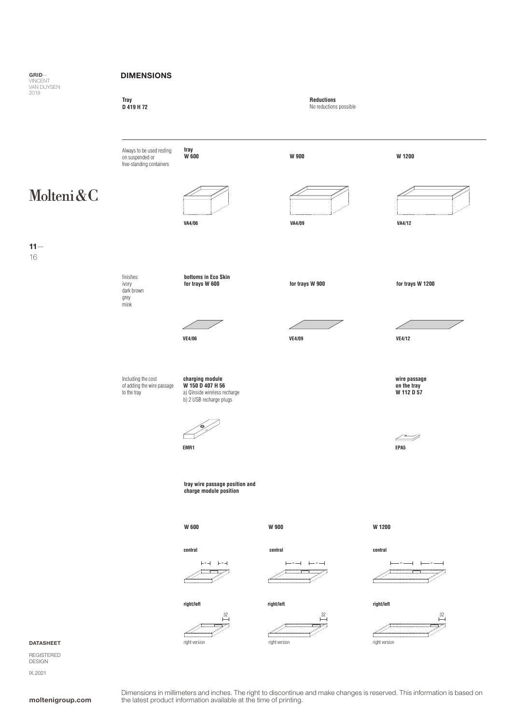#### DIMENSIONS



#### DATASHEET

 $11 -$ 16

**GRID—**<br>VINCENT<br>VAN DUYSEN<br>2018

REGISTERED DESIGN IX.2021

Dimensions in millimeters and inches. The right to discontinue and make changes is reserved. This information is based on **moltenigroup.com** the latest product information available at the time of printing.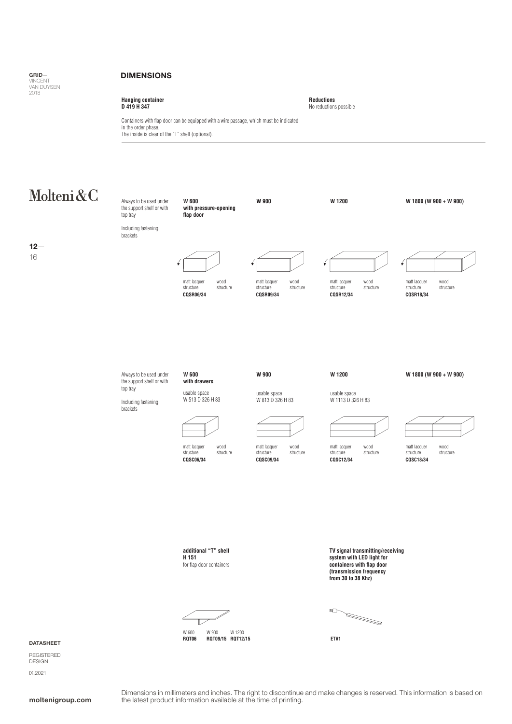GRID— VINCENT<br>VAN DUYSEN  $2018$ 

#### DIMENSIONS

**Hanging container D 419 H 347**

**Reductions** No reductions possible

Containers with flap door can be equipped with a wire passage, which must be indicated in the order phase. The inside is clear of the "T" shelf (optional).

## Molteni&C

12— 16



W 600 W 900 W 1200<br>**RQT06 RQT09/15 RQT12 RQT06 RQT09/15 RQT12/15 ETV1**

**(transmission frequency from 30 to 38 Khz)**



DATASHEET

REGISTERED DESIGN IX.2021

Dimensions in millimeters and inches. The right to discontinue and make changes is reserved. This information is based on **moltenigroup.com** the latest product information available at the time of printing.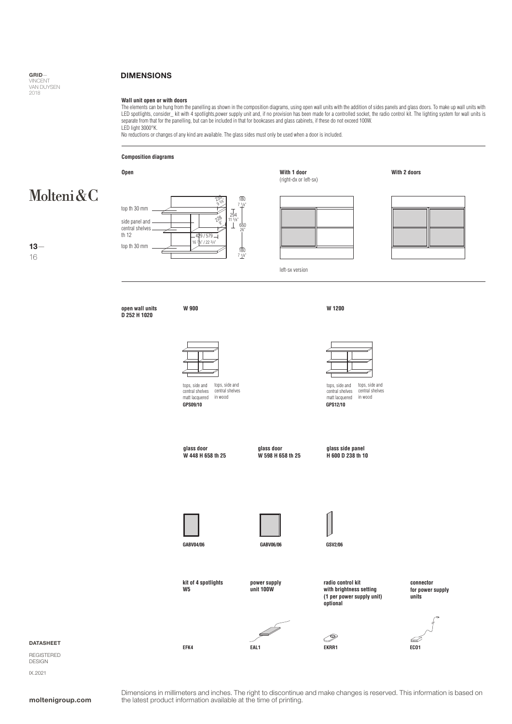13— 16

#### DIMENSIONS

#### **Wall unit open or with doors**

The elements can be hung from the panelling as shown in the composition diagrams, using open wall units with the addition of sides panels and glass doors. To make up wall units with<br>LED spotlights, consider\_kit with 4 spot separate from that for the panelling, but can be included in that for bookcases and glass cabinets, if these do not exceed 100W. LED light 3000°K.

No reductions or changes of any kind are available. The glass sides must only be used when a door is included.

#### **Composition diagrams**

#### **With 2 doors Open With 1 door** (right-dx or left-sx) Molteni&C  $2\frac{8}{3}$ 180 3/8" 97 1/8" top th 30 mm 294  $v^{\delta}$ side panel and  $\partial_{\rm s}$ <u>11</u> 660 central shelves th 12 26" 4t /22 top th 30 mm 180 7 1/1 left-sx version

**open wall units D 252 H 1020**



**W 900**

**GPS09/10** tops, side and central shelves matt lacquered tops, side and central shelves in wood

**W 1200**

**GPS12/10** tops, side and central shelves matt lacquered tops, side and central shelves in wood

**glass door W 448 H 658 th 25**

**kit of 4 spotlights**



**power supply unit 100W**

**GABV06/06**

**glass side panel H 600 D 238 th 10**



**W5**

**EFK4**





P

**radio control kit with brightness setting (1 per power supply unit) optional**





**units**



DATASHEET

REGISTERED DESIGN IX.2021

Dimensions in millimeters and inches. The right to discontinue and make changes is reserved. This information is based on **moltenigroup.com** the latest product information available at the time of printing.

**EAL1 EKRR1**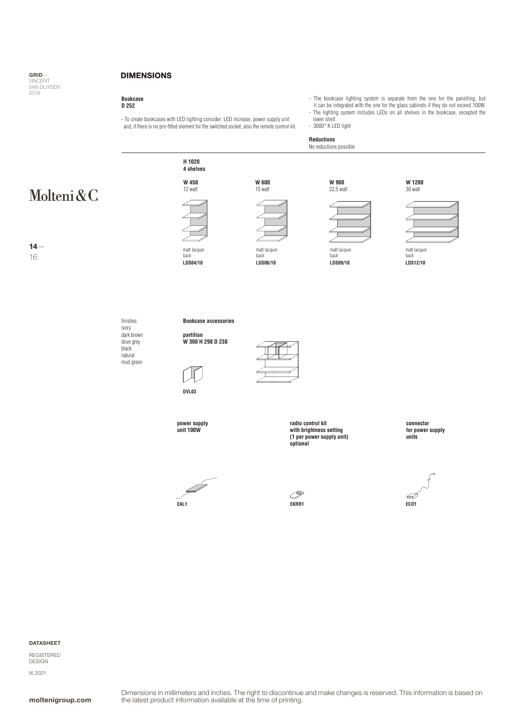14— 16

#### DIMENSIONS

## **Bookcase D 252**

- To create bookcases with LED lighting consider: LED increase, power supply unit and, if there is no pre-fitted element for the switched socket, also the remote control kit.

- The bookcase lighting system is separate from the one for the panelling, but it can be integrated with the one for the glass cabinets if they do not exceed 100W.
- The lighting system includes LEDs on all shelves in the bookcase, excepted the lower shelf.

- 3000° K LED light

### **Reductions**

No reductions possible



dark brown dove grey black natural mud green

**partition W 300 H 298 D 238**



**radio control kit with brightness setting (1 per power supply unit) optional**

**connector for power supply units**



P



DESIGN IX.2021

### DATASHEET REGISTERED

**power supply unit 100W**

Í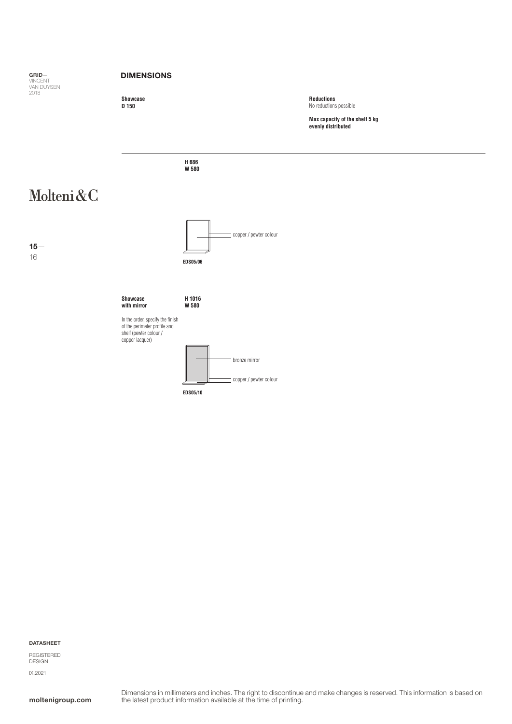

#### DATASHEET